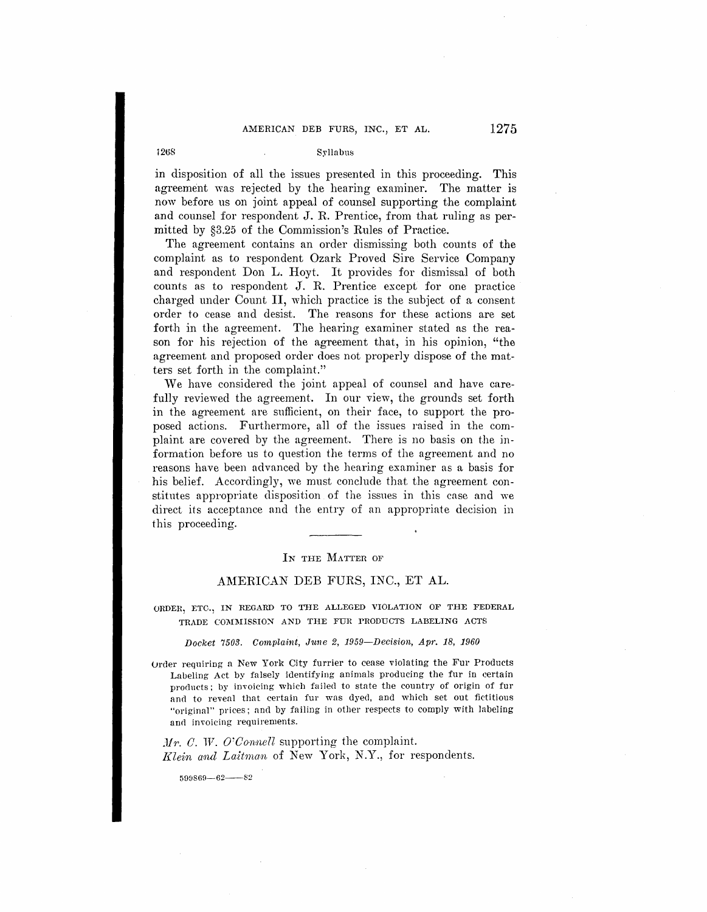## i2ti8 Syllabus

in disposition of all the issues presented in this proceeding. This agreement was rejected by the hearing examiner. The matter is now before us on joint appeal of counsel supporting the complaint and counsel for respondent J. R. Prentice, from that ruling as permitted by §3.25 of the Commission's Rules of Practice.

The agreement contains an order dismissing both counts of the complaint as to respondent Ozark Proved Sire Service Company and respondent Don L. Hoyt. It provides for dismissal of both counts as to respondent J. R. Prentice except for one practice charged under Count II, which practice is the subject of a consent order to cease and desist. The reasons for these actions are set forth in the agreement. The hearing examiner stated as the reason for his rejection of the agreement that, in his opinion, "the agreement and proposed order does not properly dispose of the matters set forth in the complaint."

We have considered the joint appeal of counsel and have carefully reviewed the agreement. In our view, the grounds set forth in the agreement are sufficient, on their face, to support the proposed actions. Furthermore, all of the issues raised in the complaint are covered by the agreement. There is no basis on the information before us to question the terms of the agreement and no reasons have been advanced by the hearing examiner as a basis for his belief. Accordingly, we must conclude that the agreement constitutes appropriate disposition of the issues in this case and we direct its acceptance and the entry of an appropriate decision in this proceeding.

## IN THE MATTER OF

## AMERICAN DEB FURS, INC., ET AL.

ORDER, ETC., IN REGARD TO THE ALLEGED VIOLATION OF THE FEDERAL TRADE COMMISSION AND THE FUR PRODUCTS LABELING ACTS

Docket 7503. Complaint, June 2, 1959-Decision, Apr. 18, 1960

Urder reqniring a New York City furrier to cease violating the Fur Products Labeling Act by falsely identifying animals producing the fur in certain products; by invoicing which failed to state the country of origin of fur and to reveal that certain fur was dyed, and which set out fictitious "original" prices; nnd by failing in other respects to comply with labeling and invoicing requirements.

*Mr. C. W. O'Connell* supporting the complaint. *J{lein mul Laitman.* of New York, N.Y., for respondents.

 $599869 - 62 - 82$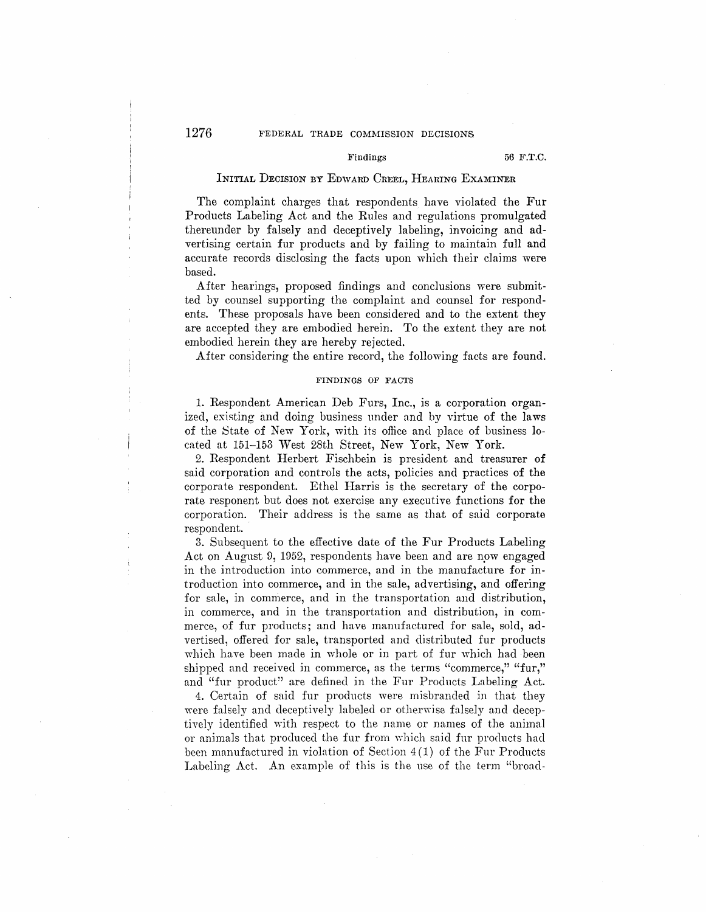# 1276 FEDERAL TRADE COMMISSION DECISIONS

## Findings 56 F.T.C.

## INITIAL DECISION BY EowARD CREEL, HEARING EXAMINER

The complaint charges that respondents have violated the Fur Products Labeling Act and the Rules and regulations promulgated thereunder by falsely and deceptively labeling, invoicing and advertising certain fur products and by failing to maintain full and accurate records disclosing the facts upon which their claims were based.

After hearings, proposed findings and conclusions were submitted by counsel supporting the complaint and counsel for respondents. These proposals have been considered and to the extent they are accepted they are embodied herein. To the extent they are not embodied herein they are hereby rejected.

After considering the entire record, the following facts are found.

#### **FINDINGS OF FACTS**

1. Respondent American Deb Furs, Inc., is a corporation organized, existing and doing business under and by virtue of the laws of the State of New York, with its office and place of business located at 151-153 West 28th Street, New York, New York.

2. Respondent Herbert Fischbein is president and treasurer **of**  said corporation and controls the acts, policies and practices of the corporate respondent. Ethel Harris is the secretary of the corporate responent but does not exercise any executive functions for the corporation. Their address is the same as that of said corporate respondent.

3. Subsequent to the effective date of the Fur Products Labeling Act on August 9, 1952, respondents have been and are now engaged in the introduction into commerce, and in the manufacture for introduction into commerce, and in the sale, advertising, and offering for sale, in commerce, and in the transportation and distribution, in commerce, and in the transportation and distribution, in commerce, of fur products; and have manufactured for sale, sold, advertised, offered for sale, transported and distributed fur products which have been made in whole or in part of fur which had been shipped and received in commerce, as the terms "commerce," "fur," and "fur product" are defined in the Fur Products Labeling Act.

4. Certain of said fur products were misbranded in that they were falsely and deceptively labeled or otherwise falsely and deceptively identified with respect to the name or names of the animal or animals that produced the fur from which said fur products had been manufactured in violation of Section  $4(1)$  of the Fur Products Labeling Act. An example of this is the use of the term "broad-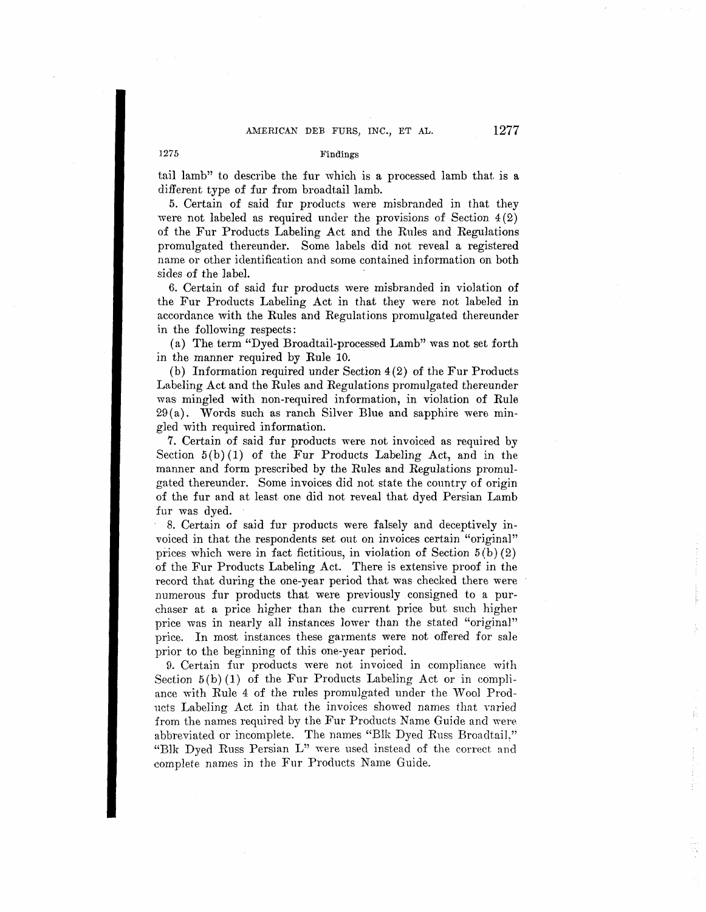## 1275 Findings

tail lamb" to describe the fur which is a processed lamb that is a different type of fur from broadtail lamb.

5. Certain of said fur products were misbranded in that they were not labeled as required under the provisions of Section  $4(2)$ of the Fur Products Labeling Act and the Rules and Regulations promulgated thereunder. Some labels did not reveal a registered name or other identification and some contained information on both sides of the label.

6. Certain of said fur products were misbranded in violation of the Fur Products Labeling Act in that they were not labeled in accordance with the Rules and Regulations promulgated thereunder in the following respects:

(a) The term "Dyed Broadtail-processed Lamb" was not set forth in the manner required by Rule 10.

(b) Information required under Section  $4(2)$  of the Fur Products Labeling Act and the Rules and Regulations promulgated thereunder was mingled with non-required information, in violation of Rule  $29(a)$ . Words such as ranch Silver Blue and sapphire were mingled with required information.

7. Certain of said fur products were not invoiced as required by Section  $5(b)(1)$  of the Fur Products Labeling Act, and in the manner and form prescribed by the Rules and Regulations promulgated thereunder. Some invoices did not state the country of origin of the fur and at least one did not reveal that dyed Persian Lamb fur was dyed.

8. Certain of said fur products were falsely and deceptively invoiced in that the respondents set out on invoices certain "original" prices which were in fact fictitious, in violation of Section  $5(b)(2)$ of the Fur Products Labeling Act. There is extensive proof in the record that during the one-year period that was checked there were numerous fur products that were previously consigned to a purchaser at a price higher than the current price but such higher price was in nearly all instances lower than the stated "original" price. In most instances these garments were not offered for sale prior to the beginning of this one-year period.

9. Certain fur products were not invoiced in compliance with Section  $5(b)(1)$  of the Fur Products Labeling Act or in compliance with Rule 4 of the rules promulgated under the Wool Products Labeling Act in that the invoices showed names that varied from the names required by the Fur Products Name Guide and were abbreviated or incomplete. The names "Blk Dyed Russ Broadtail." "Blk Dyed Russ Persian L" were used instead of the correct and complete names in the Fur Products Name Guide.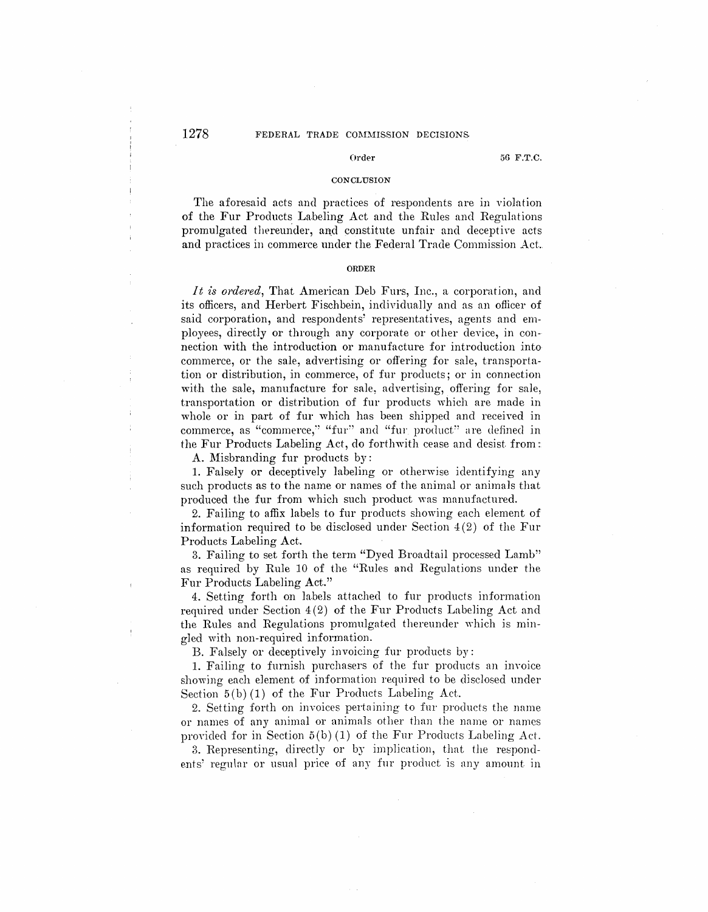**Order 56 F.T.C.** 

#### **CONCLUSION**

The aforesaid acts and practices of respondents are in violation of the Fur Products Labeling Act and the Rules and Regulations promulgated thereunder, and constitute unfair and deceptive acts and practices in commerce under the Federal Trade Commission Act.

#### **ORDER**

*It is ordered*, That American Deb Furs, Inc., a corporation, and its officers, and Herbert Fischbein, individually and as an oflicer of said corporation, and respondents' representatives, agents and employees, directly or through any corporate or other device, in connection with the introduction or manufacture for introduction into commerce, or the sale, advertising or offering for sale, transportation or distribution, in commerce, of fur products; or in connection with the sale, manufacture for sale, advertising, offering for sale, transportation or distribution of fur products which are made in whole or in part of fur which has been shipped and received in commerce, as "commerce," "fur" and "fur product" are defined in the Fur Products Labeling Act, do forthwith cease and desist from:

A. Misbranding fur products by:

1. Falsely or deceptively labeling or otherwise identifying any such products as to the name or names of the animal or animals that produced the fur from which such product was manufactured.

2. Failing to affix labels to fur products showing each element of information required to be disclosed under Section  $4(2)$  of the Fur Products Labeling Act.

3. Failing to set forth the term "Dyed Broadtail processed Lamb" as required by Rule 10 of the "Rules and Regulations under the Fur Products Labeling Act."

4. Setting forth on labels attached to fur products information required under Section 4(2) of the Fur Products Labeling Act and the Rules and Regulations promulgated thereunder which is mingled with non-required information.

B. Falsely or deceptively invoicing fur products by:

1. Failing to furnish purchasers of the fur products an invoice showing each element of information required to be disclosed under Section  $5(b)(1)$  of the Fur Products Labeling Act.

2. Setting forth on invoices pertaining to fur products the name or names of any animal or animals other than the narne or names provided for in Section  $5(b) (1)$  of the Fur Products Labeling Act.

3. Representing, directly or by implication, that the respondents' regular or usual price of any fur product is any amount in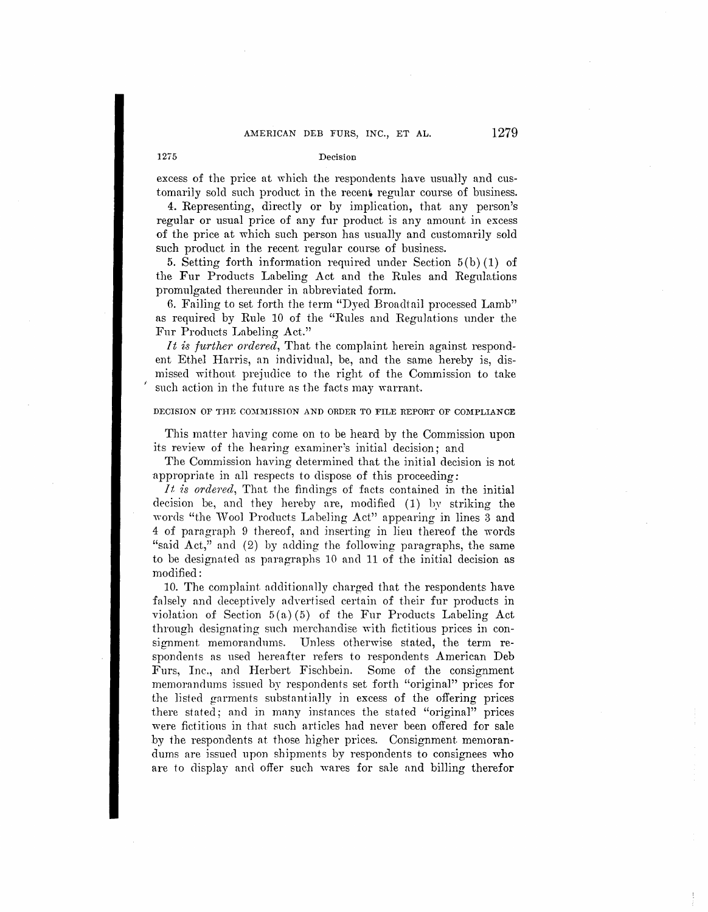# AMERICAN DEB FURS, INC., ET AL.  $1279$

## 1275 Decision

excess of the price at which the respondents have usually and customarily sold such product in the recent regular course of business.

4. Representing, directly or by implication, that any person's regular or usual price of any fur product is any amount in excess of the price at which such person has usually and customarily sold such product in the recent regular course of business.

5. Setting forth information required under Section  $5(b)(1)$  of the Fur Products Labeling Act and the Rules and Regulations promulgated thereunder in abbreviated form.

6. Failing to set forth the term "Dyed Broadtail processed Lamb" as required by Rule 10 of the "Rules and Regulations under the Fur Products Labeling Act."

*It is further ordered*, That the complaint herein against respondent Ethel Harris, an individual, be, and the same hereby is, dismissed without prejudice to the right of the Commission to take such action in the future as the facts may warrant.

## **DECISION OF THE COMMISSION AND ORDER TO FILE REPORT OF COMPLIANCE**

This matter having come on to be heard by the Commission upon its review of the hearing examiner's initial decision; and

The Commission having determined that the initial decision is not appropriate in all respects to dispose of this proceeding:

*It is ordered,* That the findings of facts contained in the initial decision be, and they hereby are, modified (1) by striking the words "the Wool Products Labeling Act" appearing in lines 3 and 4 of paragraph 9 thereof, and inserting in lieu thereof the words "said Act," and (2) by adding the following paragraphs, the same to be designated as paragraphs 10 and 11 of the initial decision as modified:

10. The complaint. additiona1ly charged that the respondents have falsely and deceptively advertised certain of their fur products in violation of Section  $5(a)(5)$  of the Fur Products Labeling Act through designating such merchandise with fictitious prices in consignment memorandums. Unless otherwise stated, the term respondents as used hereafter refers to respondents American Deb Furs, Inc., and Herbert Fischbein. Some of the consignment mernornndnrns issued by respondents set forth "original" prices for the listed gnrments substantin11y in excess of the offering prices there stated; and in many instances the stated "original" prices were fictitions in that such articles had never been offered for sale by the respondents at those higher prices. Consignment memorandums are issued upon shipments by respondents to consignees who are to display and offer such wares for sale and billing therefor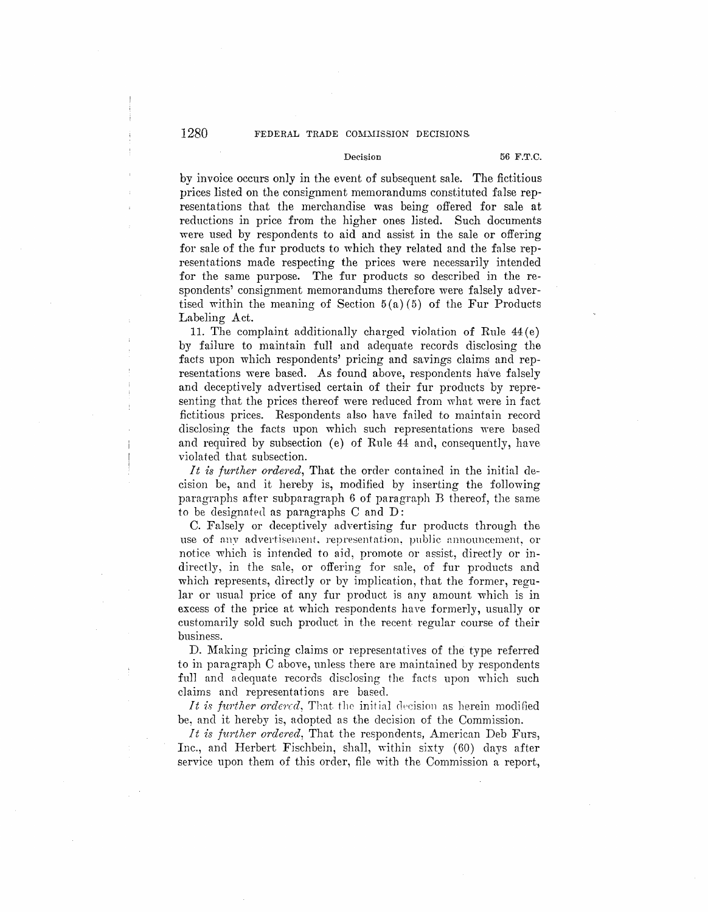# 1280 FEDERAL TRADE COMMISSION DECISIONS

Decision **56 F.T.C.** 

by invoice occurs only in the event of subsequent sale. The fictitious prices listed on the consignment memorandums constituted false representations that the merchandise was being offered for sale at reductions in price from the higher ones listed. Such documents were used by respondents to aid and assist in the sale or offering for sale of the fur products to which they related and the false representations made respecting the prices were necessarily intended for the same purpose. The fur products so described in the respondents' consignment memorandums therefore were falsely advertised within the meaning of Section 5 (a) *(*5) of the Fur Products Labeling Act.

11. The complaint additionally charged violation of Rule  $44(e)$ by failure to maintain full and adequate records disclosing the facts upon which respondents' pricing and savings claims and representations were based. As found above, respondents have falsely and deceptively advertised certain of their fur products by representing that the prices thereof were reduced from what were in fact fictitious prices. Respondents also have failed to maintain record disclosing the facts upon which such representations were based and required by subsection (e) of Rule 44 and, consequently, have violated that subsection.

*It is further ordered,* That the order contained in the initial decision be, and it hereby is, modified by inserting the following paragraphs after subparagraph  $6$  of paragraph  $B$  thereof, the same to be designated as paragraphs C and D:

C. Falsely or deceptively advertising fur products through the use of any advertisement, representation, public announcement, or notice which is intended to aid, promote or assist, directly or indirectly, in the sale, or offering for sale, of fur products and which represents, directly or by implication, that the former, regular or usual price of any fur product is any amount which is in excess of the price at which respondents have formerly, usually or customarily sold such product in the recent regular course of their business.

D. Making pricing claims or representatives of the type referred to in paragraph C above, unless there are majntained by respondents full and adequate records disclosing the facts upon which such claims and representations are based.

*It is further ordered*, That the initial decision as herein modified be, and it hereby is, adopted as the decision of the Commission.

*It is further ordered*, That the respondents, American Deb Furs, Inc., and Herbert Fischbein, shall, within sixty (60) days after service upon them of this order, file with the Commission a report,